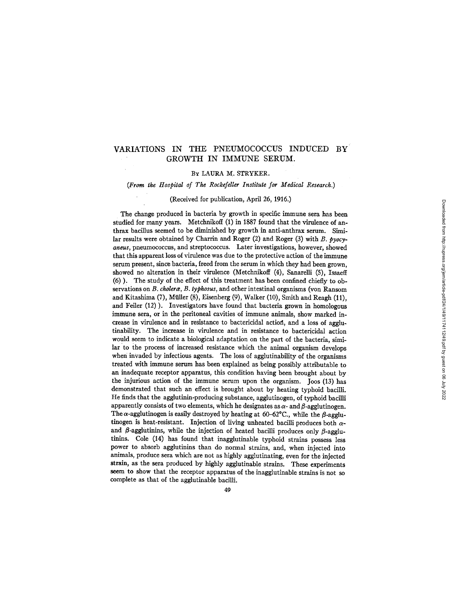# VARIATIONS IN THE PNEUMOCOCCUS INDUCED BY GROWTH IN IMMUNE SERUM.

### BY LAURA M. STRYKER.

#### *(From the Hospital of The Rockefeller Institute for Medical Research.)*

## (Received for publication, April 26, 1916.)

The change produced in bacteria by growth in specific immune sera has been studied for many years. Metchnikoff (1) in 1887 found that the virulence of anthrax bacillus seemed to be diminished by growth in anti-anthrax serum. Similar results were obtained by Charrin and Roger (2) and Roger (3) with *B. pyocyaneus,* pneumococcus, and streptococcus. Later investigations, however, showed that this apparent loss of virulence was due to the protective action of the immune serum present, since bacteria, freed from the serum in which they had been grown, showed no alteration in their virulence (Metchnikoff (4), Sanarelli (5), Issaeff (6) ). The study of the effect of this treatment has been confined chiefly to observations on *B. cholera, B. typhosus,* and other intestinal organisms (von Ransom and Kitashima (7), Muller (8), Eisenberg (9), Walker (10), Smith and Reagh (11), and Feiler (12) ). Investigators have found that bacteria grown in homologous immune sera, or in the peritoneal cavities of immune animals, show marked increase in virulence and in resistance to bactericidal action, and a loss of agglutinability. The increase in virulence and in resistance to bactericidal action would seem to indicate a biological adaptation on the part of the bacteria, similar to the process of increased resistance which the animal organism develops when invaded by infectious agents. The loss of agglutinability of the organisms treated with immune serum has been explained as being possibly attributable to an inadequate receptor apparatus, this condition having been brought about by the injurious action of the immune serum upon the organism. Joos (13) has demonstrated that such an effect is brought about by heating typhoid bacilli. He finds that the agglutinin-producing substance, agglutinogen, of typhoid bacilli apparently consists of two elements, which he designates as  $\alpha$ - and  $\beta$ -agglutinogen. The  $\alpha$ -agglutinogen is easily destroyed by heating at 60-62°C., while the  $\beta$ -agglutinogen is heat-resistant. Injection of living unheated bacilli produces both  $\alpha$ and  $\beta$ -agglutinins, while the injection of heated bacilli produces only  $\beta$ -agglutinins. Cole (14) has found that inagglutinable typhoid strains possess less power to absorb agglutinins than do normal strains, and, when injected into animals, produce sera which are not as highly agglutinating, even for the injected strain, as the sera produced by highly agglutinable strains. These experiments seem to show that the receptor apparatus of the inagglutinable strains is not so complete as that of the agglutinable bacilli.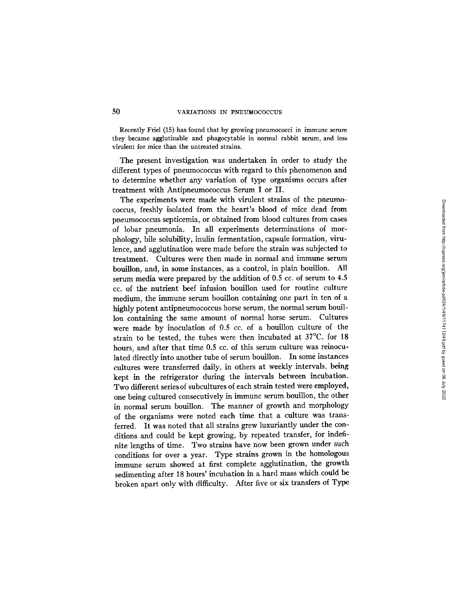Recently Friel (15) has found that by growing pneumococci in immune serum they became agglutinable and phagocytable in normal rabbit serum, and less virulent for mice than the untreated strains.

The present investigation was undertaken in order to study the different types of pneumococcus with regard to this phenomenon and to determine whether any variation of type organisms occurs after treatment with Antipneumococcus Serum I or II.

The experiments were made with virulent strains of the pneumococcus, freshly isolated from the heart's blood of mice dead from pneumococcus septicemia, or obtained from blood cultures from cases of lobar pneumonia. In all experiments determinations of morphology, bile solubility, inulin fermentation, capsule formation, virulence, and agglutination were made before the strain was subjected to treatment. Cultures were then made in normal and immune serum bouillon, and, in some instances, as a control, in plain bouillon. All serum media were prepared by the addition of 0.5 cc. of serum to 4.5 cc. of the nutrient beef infusion bouillon used for routine culture medium, the immune serum bouillon containing one part in ten of a highly potent antipneumococcus horse serum, the normal serum bouillon containing the same amount of normal horse serum. Cultures were made by inoculation of 0.5 cc. of a bouillon culture of the strain to be tested, the tubes were then incubated at 37°C. for 18 hours, and after that time 0.5 cc. of this serum culture was reinoculated directly into another tube of serum bouillon. In some instances cultures were transferred daily, in others at weekly intervals, being kept in the refrigerator during the intervals between incubation. Two different seriesof subcultures of each strain tested were employed, one being cultured consecutively in immune serum bouillon, the other in normal serum bouillon. The manner of growth and morphology of the organisms were noted each time that a culture was transferred. It was noted that all strains grew luxuriantly under the conditions and could be kept growing, by repeated transfer, for indefinite lengths of time. Two strains have now been grown under such conditions for over a year. Type strains grown in the homologous immune serum showed at first complete agglutination, the growth sedimenting after 18 hours' incubation in a hard mass which could be broken apart only with difficulty. After five or six transfers of Type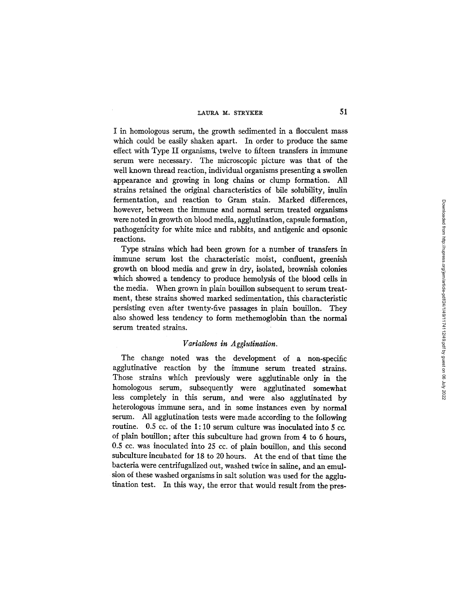#### LAURA M. STRYKER

I in homologous serum, the growth sedimented in a flocculent mass which could be easily shaken apart. In order to produce the same effect with Type II organisms, twelve to fifteen transfers in immune serum were necessary. The microscopic picture was that of the well known thread reaction, individual organisms presenting a swollen appearance and growing in long chains or clump formation. All strains retained the original characteristics of bile solubility, inulin fermentation, and reaction to Gram stain. Marked differences, however, between the immune and normal serum treated organisms were noted in growth on blood media, agglutination, capsule formation, pathogenicity for white mice and rabbits, and antigenic and opsonic reactions.

Type strains which had been grown for a number of transfers in immune serum lost the characteristic moist, confluent, greenish growth on blood media and grew in dry, isolated, brownish colonies which showed a tendency to produce hemolysis of the blood cells in the media. When grown in plain bouillon subsequent to serum treatment, these strains showed marked sedimentation, this characteristic persisting even after twenty-five passages in plain bouillon. They also showed less tendency to form methemoglobin than the normal serum treated strains.

## *Variations in Agglutination.*

The change noted was the development of a non-specific agglutinative reaction by the immune serum treated strains. Those strains which previously were agglutinable only in the homologous serum, subsequently were agglutinated somewhat less completely in this serum, and were also agglutinated by heterologous immune sera, and in some instances even by normal serum. All agglutination tests were made according to the following routine. 0.5 cc. of the 1: 10 serum culture was inoculated into 5 cc of plain bouillon; after this subculture had grown from 4 to 6 hours, 0.5 cc. was inoculated into 25 cc. of plain bouillon, and this second subculture incubated for 18 to 20 hours. At the end of that time the bacteria were centrifugalized out, washed twice in saline, and an emulsion of these washed organisms in salt solution was used for the agglutination test. In this way, the error that would result from the pres-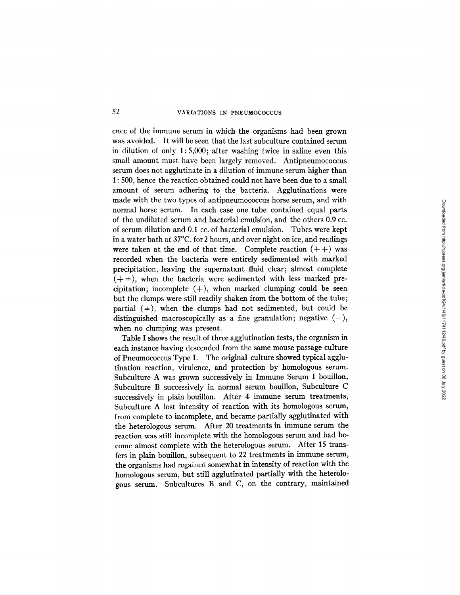ence of the immune serum in which the organisms had been grown was avoided. It will be seen that the last subculture contained serum in dilution of only 1: 5,000; after washing twice in saline even this small amount must have been largely removed. Antipneumococcus serum does not agglutinate in a dilution of immune serum higher than 1: 500, hence the reaction obtained could not have been due to a small amount of serum adhering to the bacteria. Agglutinations were made with the two types of antipneumococcus horse serum, and with normal horse serum. In each case one tube contained equal parts of the undiluted serum and bacterial emulsion, and the others 0.9 cc. of serum dilution and 0.1 cc. of bacterial emulsion. Tubes were kept in a water bath at 37°C. for 2 hours, and over night on ice, and readings were taken at the end of that time. Complete reaction  $(++)$  was recorded when the bacteria were entirely sedimented with marked precipitation, leaving the supernatant fluid clear; almost complete  $(+)$ , when the bacteria were sedimented with less marked precipitation; incomplete  $(+)$ , when marked clumping could be seen but the clumps were still readily shaken from the bottom of the tube; partial  $(+)$ , when the clumps had not sedimented, but could be distinguished macroscopically as a fine granulation; negative  $(-)$ , when no clumping was present.

Table I shows the result of three agglutination tests, the organism in each instance having descended from the same mouse passage culture of Pneumococcus Type I. The original culture showed typical agglutination reaction, virulence, and protection by homologous serum. Subculture A was grown successively in Immune Serum I bouillon, Subculture B successively in normal serum bouillon, Subculture C successively in plain bouillon. After 4 immune serum treatments, Subculture A lost intensity of reaction with its homologous serum, from complete to incomplete, and became partially agglutinated with the heterologous serum. After 20 treatments in immune serum the reaction was still incomplete with the homologous serum and had become almost complete with the heterologous serum. After 15 transfers in plain bouillon, subsequent to 22 treatments in immune serum, the organisms had regained somewhat in intensity of reaction with the homologous serum, but still agglutinated partially with the heterologous serum. Subcultures B and C, on the contrary, maintained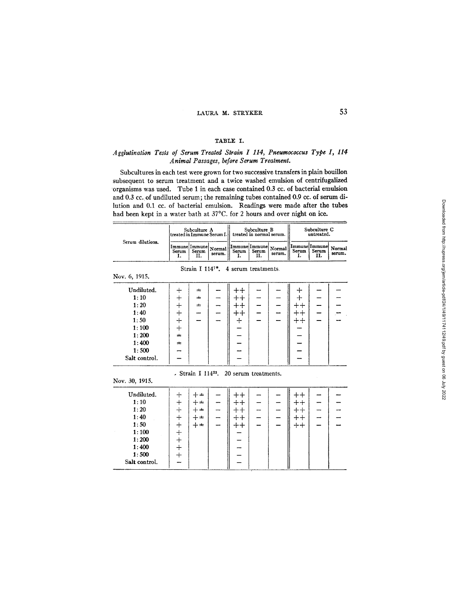## TABLE I.

## *Agglutination Tests of Serum Treated Strain 1 114, Pneumococcus Type I, 114 Animal Passages, before Serum Treatment.*

Subcultures in each test were grown for two successive transfers in plain bouillon subsequent to serum treatment and a twice washed emulsion of centrifugalized organisms was used. Tube 1 in each case contained 0.3 cc. of bacterial emulsion and 0.3 cc. of undiluted serum; the remaining tubes contained 0.9 cc. of serum dilution and 0.1 cc. of bacterial emulsion. Readings were made after the tubes had been kept in a water bath at 37 0C. for 2 hours and over night on ice.

|                  | Subculture A<br>treated in Immune Serum I. I treated in normal serum. |             |                                                | Subculture B                         |             |        | Subculture C<br>untreated.          |              |        |
|------------------|-----------------------------------------------------------------------|-------------|------------------------------------------------|--------------------------------------|-------------|--------|-------------------------------------|--------------|--------|
| Serum dilutions. | Serum<br>ı.                                                           | Serum<br>н. | $\frac{1}{2}$ (Immune Immune Normal)<br>serum. | HImmune Immune Normal<br>Serum<br>л. | Serum<br>п. | serum. | Immune Immune Normal<br>Serum<br>ı. | Serum<br>11. | serum. |

| Undiluted.    |              | 士 |  |  |  |  |
|---------------|--------------|---|--|--|--|--|
| 1:10          | $\mathrm{+}$ | 士 |  |  |  |  |
| 1:20          |              | 士 |  |  |  |  |
| 1:40          | ┿            |   |  |  |  |  |
| 1:50          | ┿            |   |  |  |  |  |
| 1:100         | ┿            |   |  |  |  |  |
| 1:200         | $\pm$        |   |  |  |  |  |
| 1:400         | $\pm$        |   |  |  |  |  |
| 1:500         |              |   |  |  |  |  |
| Salt control. |              |   |  |  |  |  |
|               |              |   |  |  |  |  |

Strain I 1147\*. 4 serum treatments.

Nov. 30, 1915.

Nov. 6, 1915.

. Strain I 11423. 20 serum treatments.

| Undiluted.    |        | ᆂ     |  |  |  |  |
|---------------|--------|-------|--|--|--|--|
| 1:10          |        | $\pm$ |  |  |  |  |
| 1:20          |        | 士     |  |  |  |  |
| 1:40          |        | 士     |  |  |  |  |
| 1:50          |        | ±±    |  |  |  |  |
| 1:100         |        |       |  |  |  |  |
| 1:200         |        |       |  |  |  |  |
| 1:400         |        |       |  |  |  |  |
| 1:500         | $\div$ |       |  |  |  |  |
| Salt control. |        |       |  |  |  |  |
|               |        |       |  |  |  |  |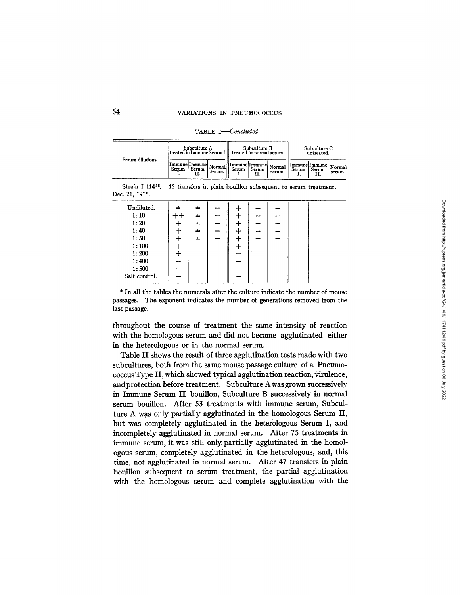| Serum dilutions. | Subculture A<br>treated in Immune Serum I.   treated in normal serum. |             |                  | Subculture B |                               |                  | Subculture C<br>untreated.       |             |        |
|------------------|-----------------------------------------------------------------------|-------------|------------------|--------------|-------------------------------|------------------|----------------------------------|-------------|--------|
|                  | (Immune Immune)<br>Serum<br>                                          | Serum<br>н. | Normal<br>serum. | Serum<br>л.  | Immune Immune <br>Serum<br>п. | Normal<br>serum. | Immune Immune Norma<br>Serum<br> | Serum<br>п. | serum. |

|  | TABLE I-Concluded. |
|--|--------------------|
|--|--------------------|

Strain I 114<sup>38</sup>. 15 transfers in plain bouillon subsequent to serum treatment. Dec. 21, 1915.

| Undiluted.    | 士 | $\pm$ |  |  |  |  |
|---------------|---|-------|--|--|--|--|
| 1:10          |   | ᆂ     |  |  |  |  |
| 1:20          |   | 士     |  |  |  |  |
| 1:40          |   | 士     |  |  |  |  |
| 1:50          |   | ᆂ     |  |  |  |  |
| 1:100         |   |       |  |  |  |  |
| 1:200         | ┿ |       |  |  |  |  |
| 1:400         |   |       |  |  |  |  |
| 1:500         |   |       |  |  |  |  |
| Salt control. |   |       |  |  |  |  |
|               |   |       |  |  |  |  |

\* In all the tables the numerals after the culture indicate the number of mouse passages. The exponent indicates the number of generations removed from the last passage.

throughout the course of treatment the same intensity of reaction with the homologous serum and did not become agglutinated either in the heterologous or in the normal serum.

Table II shows the result of three agglutination tests made with two subcultures, both from the same mouse passage culture of a Pneumococcus Type II,which showed typical agglutination reaction, virulence, andprotection before treatment. Subculture Awasgrown successively in Immune Serum II bouillon, Subculture B successively in normal serum bouillon. After 53 treatments with immune serum, Subculture A was only partially agglutinated in the homologous Serum II, but was completely agglutinated in the heterologous Serum I, and incompletely agglutinated in normal serum. After 75 treatments in immune serum, it was still only partially agglutinated in the homologous serum, completely agglutinated in the heterologous, and, this time, not agglutinated in normal serum. After 47 transfers in plain bouillon subsequent to serum treatment, the partial agglutination with the homologous serum and complete agglutination with the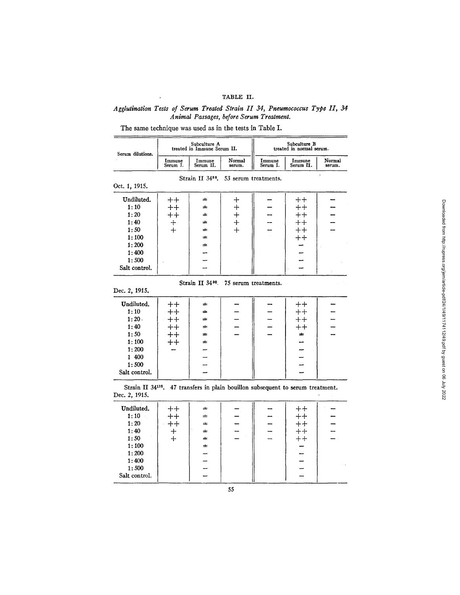# TABLE **II.**

## *Agglutination Tests of Serum Treated Strain II 34, Pneumococcus Type II, 34 Animal Passages, before Serum Treatment.*

The same technique was used as in the tests in Table I.

| Serum dilutions.                                                                                |                          | Subculture A<br>treated in Immune Serum II. |                                                   |                    | Subculture B<br>treated in normal serum. |                  |
|-------------------------------------------------------------------------------------------------|--------------------------|---------------------------------------------|---------------------------------------------------|--------------------|------------------------------------------|------------------|
|                                                                                                 | Immune<br>Serum I.       | Immune<br>Serum II.                         | Normal<br>serum.                                  | Immune<br>Serum I. | Immune<br>Serum II.                      | Normal<br>serum. |
| Oct. 1, 1915.                                                                                   |                          |                                             | Strain II 34 <sup>68</sup> . 53 serum treatments. |                    |                                          |                  |
|                                                                                                 |                          |                                             |                                                   |                    |                                          |                  |
| Undiluted.<br>1:10                                                                              | $^{\mathrm{++}}$<br>$++$ | ᆂ<br>ᆂ                                      | $\div$<br>$\boldsymbol{+}$                        |                    | $++$<br>ᆠᆠ                               |                  |
| 1:20                                                                                            | $++$                     | ᆂ                                           | $^{+}$                                            |                    | $++$                                     |                  |
| 1:40                                                                                            | $+$                      | Ŧ                                           | $+$                                               |                    | $+ +$                                    |                  |
| 1:50                                                                                            | $+$                      | ᆂ                                           | $\overline{+}$                                    |                    | $^+$                                     |                  |
| 1:100                                                                                           |                          | Ŧ                                           |                                                   |                    | $^+$                                     |                  |
| 1:200                                                                                           |                          | $\pm$                                       |                                                   |                    |                                          |                  |
| 1:400                                                                                           |                          |                                             |                                                   |                    |                                          |                  |
| 1:500                                                                                           |                          |                                             |                                                   |                    |                                          |                  |
| Salt control.                                                                                   |                          |                                             |                                                   |                    |                                          |                  |
|                                                                                                 |                          | Strain II 3490.                             | 75 serum treatments.                              |                    |                                          |                  |
| Dec. 2, 1915.                                                                                   |                          |                                             |                                                   |                    |                                          |                  |
| Undiluted.                                                                                      | $++$                     | ᆂ                                           |                                                   |                    | $++$                                     |                  |
| 1:10                                                                                            | $++$                     | sta                                         |                                                   |                    | $^{\mathrm{++}}$                         |                  |
| 1:20.                                                                                           | $++$                     | ᆂ                                           |                                                   |                    | $++$                                     |                  |
| 1:40                                                                                            | $+ +$                    | ᆂ                                           |                                                   |                    | $^{\mathrm{++}}$                         |                  |
| 1:50                                                                                            | $++$                     | ᆂ                                           |                                                   |                    | ste                                      |                  |
| 1:100                                                                                           | $^+$                     | ak.                                         |                                                   |                    |                                          |                  |
| 1:200                                                                                           |                          |                                             |                                                   |                    |                                          |                  |
| 1 400                                                                                           |                          |                                             |                                                   |                    |                                          |                  |
| 1:500                                                                                           |                          |                                             |                                                   |                    |                                          |                  |
| Salt control.                                                                                   |                          |                                             |                                                   |                    |                                          |                  |
| Strain II 34116. 47 transfers in plain bouillon subsequent to serum treatment.<br>Dec. 2, 1915. |                          |                                             |                                                   |                    |                                          |                  |
| Undiluted.                                                                                      | 十十                       | ±                                           |                                                   |                    | $++$                                     |                  |
| 1:10                                                                                            | $+ +$                    | #                                           |                                                   |                    | $+ +$                                    |                  |
| 1:20                                                                                            | $++$                     | 士                                           |                                                   |                    | $^{\mathrm{+}}$                          |                  |
| 1:40                                                                                            | $+$                      | $\pm$                                       |                                                   |                    | $^{++}$                                  |                  |
| 1:50                                                                                            | $\pm$                    | ±                                           |                                                   |                    | $++$                                     |                  |
| 1:100                                                                                           |                          | ±                                           |                                                   |                    |                                          |                  |
| 1:200                                                                                           |                          |                                             |                                                   |                    |                                          |                  |
| 1:400                                                                                           |                          |                                             |                                                   |                    |                                          |                  |
| 1:500                                                                                           |                          |                                             |                                                   |                    |                                          |                  |
| Salt control.                                                                                   |                          |                                             |                                                   |                    |                                          |                  |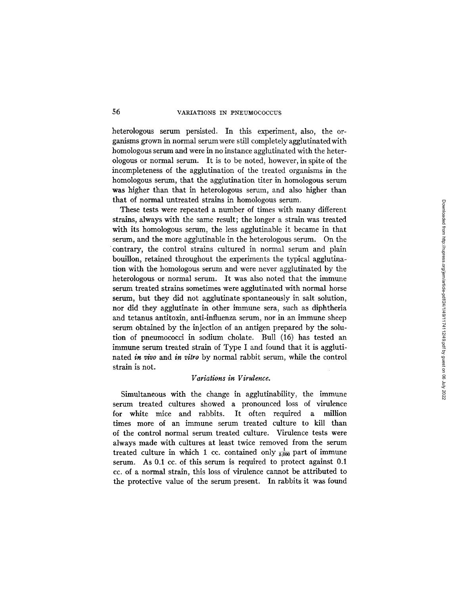heterologous serum persisted. In this experiment, also, the organisms grown in normal serum were still completely agglutinatedwith homologous serum and were in no instance agglutinated with the heterologous or normal serum. It is to be noted, however, in spite of the incompleteness of the agglutination of the treated organisms in the homologous serum, that the agglutination titer in homologous serum was higher than that in heterologous serum, and also higher than that of normal untreated strains in homologous serum.

These tests were repeated a number of times with many different strains, always with the same result; the longer a strain was treated with its homologous serum, the less agglutinable it became in that serum, and the more agglutinable in the heterologous serum. On the contrary, the control strains cultured in normal serum and plain bouillon, retained throughout the experiments the typical agglutination with the homologous serum and were never agglutinated by the heterologous or normal serum. It was also noted that the immune serum treated strains sometimes were agglutinated with normal horse serum, but they did not agglutinate spontaneously in salt solution, nor did they agglutinate in other immune sera, such as diphtheria and tetanus antitoxin, anti-influenza serum, nor in an immune sheep serum obtained by the injection of an antigen prepared by the solution of pneumococci in sodium cholate. Bull (16) has tested an immune serum treated strain of Type I and found that it is agglutinated *in vivo* and *in vitro* by normal rabbit serum, while the control strain is not.

# *Variations in Virulence.*

Simultaneous with the change in agglutinability, the immune serum treated cultures showed a pronounced loss of virulence for white mice and rabbits. It often required a million times more of an immune serum treated culture to kill than of the control normal serum treated culture. Virulence tests were always made with cultures at least twice removed from the serum treated culture in which 1 cc. contained only  $\frac{1}{5,000}$  part of immune serum. As 0.1 cc. of this serum is required to protect against 0.1 cc. of a normal strain, this loss of virulence cannot be attributed to the protective value of the serum present. In rabbits it was found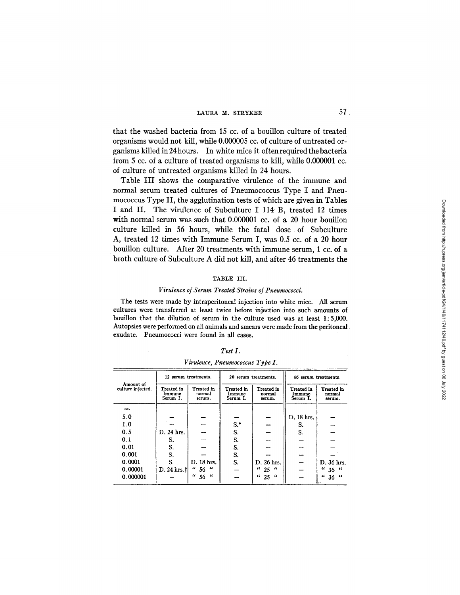that the washed bacteria from 15 cc. of a bouillon culture of treated organisms would not kill, while 0.000005 cc. of culture of untreated organisms killed in24hours. In white mice it often required the bacteria from 5 cc. of a culture of treated organisms to kill, while 0.000001 cc. of culture of untreated organisms killed in 24 hours.

Table III shows the comparative virulence of the immune and normal serum treated cultures of Pneumococcus Type I and Pneumococcus Type II, the agglutination tests of which are given in Tables I and II. The virulence of Subculture I 114. B, treated 12 times with normal serum was such that 0.000001 cc. of a 20 hour bouillon culture killed in 56 hours, while the fatal dose of Subculture A, treated 12 times with Immune Serum I, was 0.5 cc. of a 20 hour bouillon culture. After 20 treatments with immune serum, 1 cc. of a broth culture of Subculture A did not kill, and after 46 treatments the

## TABLE III.

## *Virulence of Serum Treated Strains of Pneumococci.*

The tests were made by intraperitoneal injection into white mice. All serum cultures were transferred at least twice before injection into such amounts of bouillon that the dilution of serum in the culture used was at least 1:5,000. Autopsies were performed on all animals and smears were made from the peritoneal exudate. Pneumococci were found in all cases.

| - <u>.</u> , ,                 |                                  |                                |                                  |                                |                                  |                                |  |  |  |  |
|--------------------------------|----------------------------------|--------------------------------|----------------------------------|--------------------------------|----------------------------------|--------------------------------|--|--|--|--|
|                                |                                  | 12 serum treatments.           |                                  | 20 serum treatments.           |                                  | 46 serum treatments.           |  |  |  |  |
| Amount of<br>culture injected. | Treated in<br>Immune<br>Serum I. | Treated in<br>normal<br>serum. | Treated in<br>Immune<br>Serum I. | Treated in<br>normal<br>serum. | Treated in<br>Immune<br>Serum I. | Treated in<br>normal<br>serum. |  |  |  |  |
| cc.                            |                                  |                                |                                  |                                |                                  |                                |  |  |  |  |
| 5.0                            |                                  |                                |                                  |                                | D. 18 hrs.                       |                                |  |  |  |  |
| 1.0                            |                                  |                                | $S^*$                            |                                | S.                               |                                |  |  |  |  |
| 0.5                            | D. 24 hrs.                       |                                | S.                               |                                | S.                               |                                |  |  |  |  |
| 0.1                            | S.                               |                                | S.                               |                                |                                  |                                |  |  |  |  |
| 0.01                           | S.                               |                                | S.                               |                                |                                  |                                |  |  |  |  |
| 0.001                          | S.                               |                                | S.                               |                                |                                  |                                |  |  |  |  |
| 0.0001                         | S.                               | D. 18 hrs.                     | S.                               | D. 26 hrs.                     |                                  | D. 36 hrs.                     |  |  |  |  |
| 0.00001                        | $D. 24$ hrs. $\dagger$           | ``56"                          |                                  | 4254                           |                                  | 4.364                          |  |  |  |  |
| 0.000001                       |                                  | ``56"                          |                                  | ``25"                          |                                  | 4364                           |  |  |  |  |

| Test I.                         |  |
|---------------------------------|--|
| Virulence, Pneumococcus Type L. |  |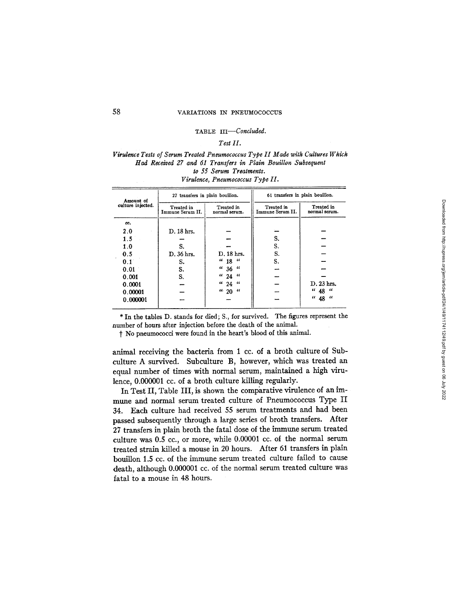#### TABLE *III-Concluded.*

#### *Test II.*

# *Virulence Tests of Serum Treated Pneumococcus Type II Made with Cultures Which Had Received 27 and 61 Transfers in Plain Bouillon Subsequent to 55 Serum Treatments.*

*Virulence, Pneumococcus Type II.*

| Amount of         | 27 transfers in plain bouillon. |                             | 61 transfers in plain bouillon. |                             |  |  |  |
|-------------------|---------------------------------|-----------------------------|---------------------------------|-----------------------------|--|--|--|
| culture injected. | Treated in<br>Immune Serum II.  | Treated in<br>normal serum. | Treated in<br>Immune Serum II.  | Treated in<br>normal serum. |  |  |  |
| cc.               |                                 |                             |                                 |                             |  |  |  |
| 2.0               | D. 18 hrs.                      |                             |                                 |                             |  |  |  |
| 1.5               |                                 |                             | S.                              |                             |  |  |  |
| 1.0               | S.                              |                             | S.                              |                             |  |  |  |
| 0.5               | D. 36 hrs.                      | D. 18 hrs.                  | S.                              |                             |  |  |  |
| $0.1^\circ$       | s.                              | 48.4                        | S.                              |                             |  |  |  |
| 0.01              | S.                              | 4.36.4                      |                                 |                             |  |  |  |
| 0.001             | S.                              | 44.4                        |                                 |                             |  |  |  |
| 0.0001            |                                 | 4.24                        |                                 | D. 23 hrs.                  |  |  |  |
| 0.00001           |                                 | 4.20                        |                                 | $48 - 4$                    |  |  |  |
| 0.000001          |                                 |                             |                                 | "<br>"<br>48                |  |  |  |

**\*** In the tables D. stands for died; S., for survived. The figures represent the number of hours after injection before the death of the animal.

t No pneumococci were found in the heart's blood of this animal.

animal receiving the bacteria from 1 cc. of a broth culture of Subculture A survived. Subculture B, however, which was treated an equal number of times with normal serum, maintained a high virulence, 0.000001 cc. of a broth culture killing regularly.

In Test II, Table III, is shown the comparative virulence of an immune and normal serum treated culture of Pneumococcus Type II 34. Each culture had received 55 serum treatments and had been passed subsequently through a large series of broth transfers. After 27 transfers in plain broth the fatal dose of the immune serum treated culture was 0.5 cc., or more, while 0.00001 cc. of the normal serum treated strain killed a mouse in 20 hours. After 61 transfers in plain bouillon 1.5 cc. of the immune serum treated culture failed to cause death, although 0.000001 cc. of the normal serum treated culture was fatal to a mouse in 48 hours.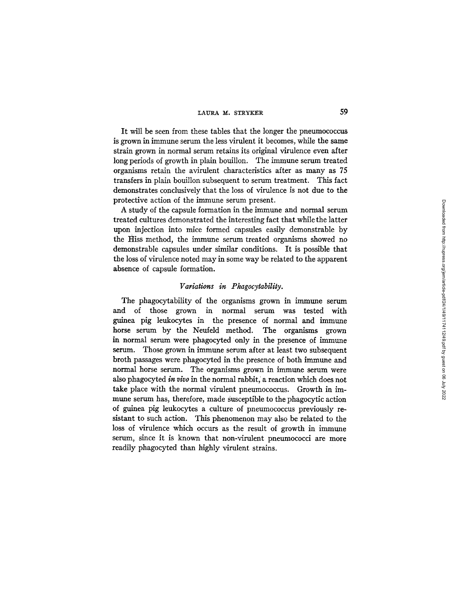#### LAURA M. STRYKER

It will be seen from these tables that the longer the pneumococcus is grown in immune serum the less virulent it becomes, while the same strain grown in normal serum retains its original virulence even after long periods of growth in plain bouillon. The immune serum treated organisms retain the avirulent characteristics after as many as 75 transfers in plain bouillon subsequent to serum treatment. This fact demonstrates conclusively that the loss of virulence is not due to the protective action of the immune serum present.

A study of the capsule formation in the immune and normal serum treated cultures demonstrated the interesting fact that while the latter upon injection into mice formed capsules easily demonstrable by the Hiss method, the immune serum treated organisms showed no demonstrable capsules under similar conditions. It is possible that the loss of virulence noted may in some way be related to the apparent absence of capsule formation.

## *Variations in Phagocytability.*

The phagocytability of the organisms grown in immune serum and of those grown in normal serum was tested with guinea pig leukocytes in the presence of normal and immune horse serum by the Neufeld method. The organisms grown in normal serum were phagocyted only in the presence of immune serum. Those grown in immune serum after at least two subsequent broth passages were phagocyted in the presence of both immune and normal horse serum. The organisms grown in immune serum were also phagocyted *in vivo* in the normal rabbit; a reaction which does not take place with the normal virulent pneumococcus. Growth in immune serum has, therefore, made susceptible to the phagocytic action of guinea pig leukocytes a culture of pneumococcus previously resistant to such action. This phenomenon may also be related to the loss of virulence which occurs as the result of growth in immune serum, since it is known that non-virulent pneumococci are more readily phagocyted than highly virulent strains.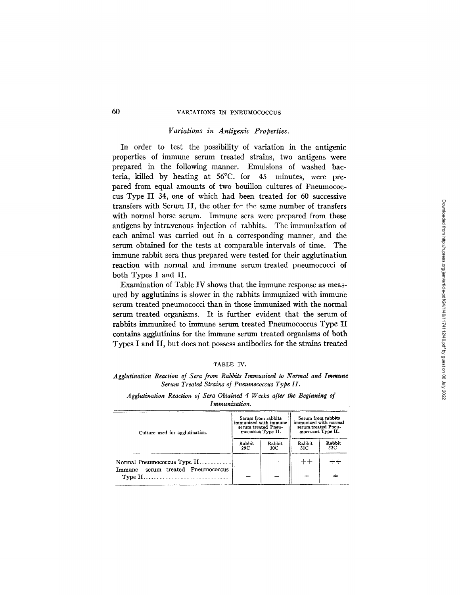#### *Variations in Antigenic Properties.*

In order to test the possibility of variation in the antigenic properties of immune serum treated strains, two antigens were prepared in the following manner. Emulsions of washed bacteria, killed by heating at 56°C. for 45 minutes, were prepared from equal amounts of two bouillon cultures of Pneumococcus Type II 34, one of which had been treated for 60 successive transfers with Serum II, the other for the same number of transfers with normal horse serum. Immune sera were prepared from these antigens by intravenous injection of rabbits. The immunization of each animal was carried out in a corresponding manner, and the serum obtained for the tests at comparable intervals of time. The immune rabbit sera thus prepared were tested for their agglutination reaction with normal and immune serum treated pneumococci of both Types I and II.

Examination of Table IV shows that the immune response as measured by agglutinins is slower in the rabbits immunized with immune serum treated pneumococci than in those immunized with the normal serum treated organisms. It is further evident that the serum of rabbits immunized to immune serum treated Pneumococcus Type II contains agglutinins for the immune serum treated organisms of both Types I and II, but does not possess antibodies for the strains treated

## TABLE IV.

## *Agglutination Reaction of Sera from Rabbits Immunized to Normal and Immune Serum Treated Strains of Pneumococcus Type II.*

| 1 ттипгzаноп.                                                              |                                                                                         |               |                                                                                         |               |  |  |  |  |  |
|----------------------------------------------------------------------------|-----------------------------------------------------------------------------------------|---------------|-----------------------------------------------------------------------------------------|---------------|--|--|--|--|--|
| Culture used for agglutination.                                            | Serum from rabbits<br>immunized with immune<br>serum treated Pneu-<br>mococcus Type II. |               | Serum from rabbits<br>immunized with normal<br>serum treated Pneu-<br>mococcus Type II. |               |  |  |  |  |  |
|                                                                            | Rabbit<br>29 C                                                                          | Rabbit<br>30C | Rabbit<br>31C.                                                                          | Rabbit<br>32C |  |  |  |  |  |
| Normal Pneumococcus Type II<br>serum treated Pneumococcus<br><b>Immune</b> |                                                                                         |               | $++$                                                                                    |               |  |  |  |  |  |
|                                                                            |                                                                                         |               | ᆂ                                                                                       | ÷             |  |  |  |  |  |

*Agglutination Reaction of Sera Obtained 4 Weeks after the Beginning of Immunization.*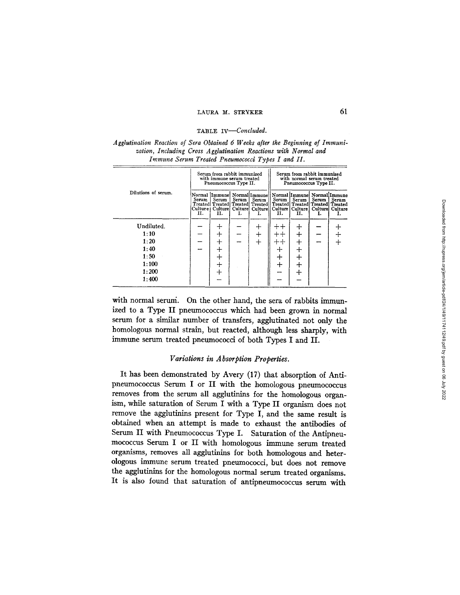#### TABLE *IV-Concluded.*

| Agglutination Reaction of Sera Obtained 6 Weeks after the Beginning of Immuni- |                                                                 |  |  |  |  |  |
|--------------------------------------------------------------------------------|-----------------------------------------------------------------|--|--|--|--|--|
|                                                                                | zation, Including Cross Agglutination Reactions with Normal and |  |  |  |  |  |
|                                                                                | Immune Serum Treated Pneumococci Types I and II.                |  |  |  |  |  |

|                     | Serum from rabbit immunized<br>with immune serum treated<br>Pneumococcus Type II. |                                           |             |                                                                               | Serum from rabbit immunized<br>with normal serum treated<br>Pneumococcus Type II.                     |                               |       |                        |
|---------------------|-----------------------------------------------------------------------------------|-------------------------------------------|-------------|-------------------------------------------------------------------------------|-------------------------------------------------------------------------------------------------------|-------------------------------|-------|------------------------|
| Dilutions of serum. | Serum<br>П.                                                                       | Serum<br>Culture। Culture! Culture!<br>П. | Serum<br>Ι. | Normal Immune Normal Immune<br>Serum<br>Treated Treated Treated Treated<br>ı. | Serum<br>  Treated  Treated  Treated  Treated<br>Culture   Culture   Culture   Culture  Culture<br>п. | Normal Immunel<br>Serum<br>н. | Serum | NormallImmune<br>Serum |
| Undiluted.          |                                                                                   | ┿                                         |             | ┿                                                                             |                                                                                                       | ┿                             |       |                        |
| 1:10                |                                                                                   | ┿                                         |             | ┿                                                                             |                                                                                                       | ┿                             |       |                        |
| 1:20                |                                                                                   |                                           |             | $^{\mathrm{+}}$                                                               |                                                                                                       | ┿                             |       |                        |
| 1:40                |                                                                                   |                                           |             |                                                                               |                                                                                                       | ┿                             |       |                        |
| 1:50                |                                                                                   | $^+$                                      |             |                                                                               | ┿                                                                                                     | ┿                             |       |                        |
| 1:100               |                                                                                   | $\hspace{0.1mm} +\hspace{0.1mm}$          |             |                                                                               | ┿                                                                                                     | ┿                             |       |                        |
| 1:200               |                                                                                   |                                           |             |                                                                               |                                                                                                       | $+$                           |       |                        |
| 1:400               |                                                                                   |                                           |             |                                                                               |                                                                                                       |                               |       |                        |

**with normal seruni. On the other hand, the sera of rabbits immunized to a Type II pneumococcus which had been grown** in normal **serum for a similar number** of transfers, **agglutinated not only the homologous normal strain, but reacted, although less sharply, with immune serum treated pneumococci** of both **Types I and II.**

### *Variations in Absorption Properties.*

**It has been demonstrated by Avery (17) that absorption** of Anti**pneumococcus Serum I or II with the homologous pneumococcus removes from the serum all agglutinins for the homologous organism, while saturation of Serum I with a Type II organism does not remove the agglutinins present for Type I, and the same result is obtained when an attempt is made to exhaust the antibodies of Serum II with Pneumococcus Type I. Saturation of the Antipneumococcus Serum I or II with homologous immune serum treated organisms, removes all agglutinins for both homologous and heterologous immune serum treated pneumococci, but does not remove the agglutinins for the homologous normal serum treated organisms. It** is also found **that saturation** of antipneumococcus **serum with**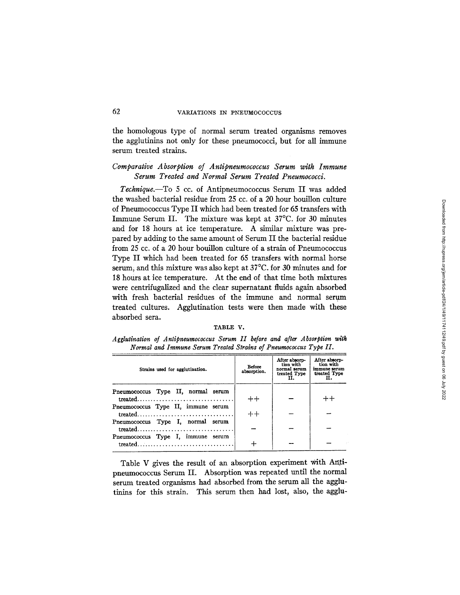the homologous type of normal serum treated organisms removes the agglutinins not only for these pneumococci, but for all immune serum treated strains.

# *Comparative Absorption of Antipneumococcus Serum with Immune Serum Treated and Normal Serum Treated Pneumococci.*

*Technique.-To* 5 cc. of Antipneumococcus Serum II was added the washed bacterial residue from 25 cc. of a 20 hour bouillon culture of Pneumococcus Type II which had been treated for 65 transfers with Immune Serum II. The mixture was kept at 37°C. for 30 minutes and for 18 hours at ice temperature. A similar mixture was prepared by adding to the same amount of Serum II the bacterial residue from 25 cc. of a 20 hour bouillon culture of a strain of Pneumococcus Type II which had been treated for 65 transfers with normal horse serum, and this mixture was also kept at 37°C. for 30 minutes and for 18 hours at ice temperature. At the end of that time both mixtures were centrifugalized and the clear supernatant fluids again absorbed with fresh bacterial residues of the immune and normal serum treated cultures. Agglutination tests were then made with these absorbed sera.

## TABLE V.

*Agglutination of Antipneumococcus Serum II before and after Absorption with Normal and Immune Serum Treated Strains of Pneumococcus Type II.*

| Strains used for agglutination.                 | Before<br>absorption. | After absorp-<br>tion with<br>normal serum<br>treated Type<br>н. | After absorp-<br>tion with<br>immune serum<br>treated Type<br>п. |
|-------------------------------------------------|-----------------------|------------------------------------------------------------------|------------------------------------------------------------------|
| Pneumococcus Type II, normal serum<br>$treated$ |                       |                                                                  |                                                                  |
| Pneumococcus Type II, immune serum<br>$treated$ | $+ +$                 |                                                                  |                                                                  |
| Pneumococcus Type I, normal serum<br>$treated$  |                       |                                                                  |                                                                  |
| Pneumococcus Type I, immune serum               |                       |                                                                  |                                                                  |

Table V gives the result of an absorption experiment with Antipneumococcus Serum II. Absorption was repeated until the normal serum treated organisms had absorbed from the serum all the agglutinins for this strain. This serum then had lost, also, the agglu-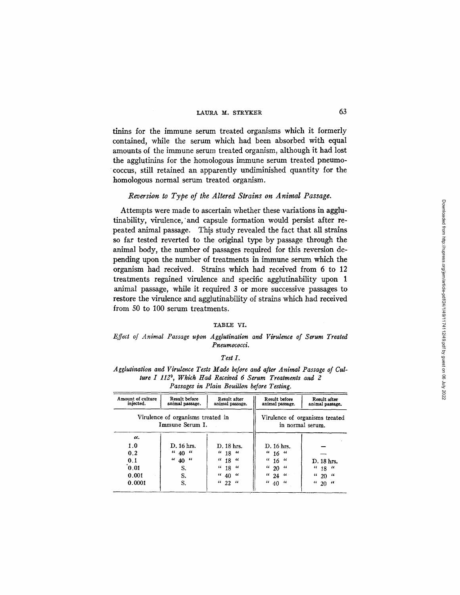## LAURA M. STRYKER

tinins for the immune serum treated organisms which it formerly contained, while the serum which had been absorbed with equal amounts of the immune serum treated organism, although it had lost the agglutinins for the homologous immune serum treated pneumococcus, still retained an apparently undiminished quantity for the homologous normal serum treated organism.

## *Reversion to Type of the Altered Strains on Animal Passage.*

Attempts were made to ascertain whether these variations in agglutinability, virulence, 'and capsule formation would persist after repeated animal passage. This study revealed the fact that all strains so far tested reverted to the original type by passage through the animal body, the number of passages required for this reversion depending upon the number of treatments in immune serum which the organism had received. Strains which had received from 6 to 12 treatments regained virulence and specific agglutinability upon 1 animal passage, while it required 3 or more successive passages to restore the virulence and agglutinability of strains which had received from 50 to 100 serum treatments.

#### **TABLE VI.**

## *Effect of Animal Passage upon Agglutination and Virulence of Serum Treated Pneumococci.*

|--|--|

|  | Agglutination and Virulence Tests Made before and after Animal Passage of Cul- |  |
|--|--------------------------------------------------------------------------------|--|
|  | ture I 112 <sup>9</sup> , Which Had Received 6 Serum Treatments and 2          |  |
|  | Passages in Plain Bouillon before Testing.                                     |  |

| Amount of culture<br>injected. | Result before<br>animal passage.                     | Result after<br>animal passage. | Result before<br>animal passage. | Result after<br>animal passage.                    |  |
|--------------------------------|------------------------------------------------------|---------------------------------|----------------------------------|----------------------------------------------------|--|
|                                | Virulence of organisms treated in<br>Immune Serum I. |                                 |                                  | Virulence of organisms treated<br>in normal serum. |  |
| cc.                            |                                                      |                                 |                                  |                                                    |  |
| 1.0                            | D. 16 hrs.                                           | D. 18 hrs.                      | D. 16 hrs.                       |                                                    |  |
| 0.2                            | $40$ $40$                                            | $^{44}$ 18 $^{44}$              | 464                              |                                                    |  |
| 0.1                            | $40$ "                                               | 48.4                            | 464                              | D. 18 hrs.                                         |  |
| 0.01                           | S.                                                   | 48<br>- 66                      | $420$ $44$                       | 48.48                                              |  |
| 0.001                          | S.                                                   | 40 <sup>40</sup>                | 444                              | $420$ $45$                                         |  |
| 0.0001                         | S.                                                   | $^{44}$ 22 $^{44}$              | $40$ $40$                        | $420 - 45$                                         |  |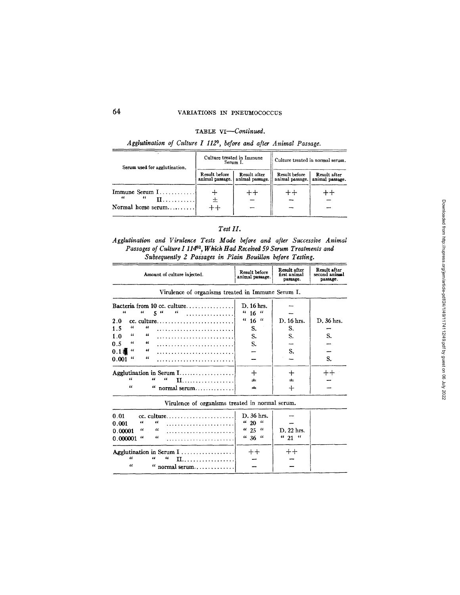#### TABLE *VI-Continued.*

*Agglutination of Culture I 1129, before and after Animal Passage.*

| Serum used for agglutination.                                                   | Culture treated in Immune        | Serum I.                        | Culture treated in normal serum.   |                                 |  |
|---------------------------------------------------------------------------------|----------------------------------|---------------------------------|------------------------------------|---------------------------------|--|
|                                                                                 | Result before<br>animal passage. | Result after<br>animal passage. | Result before<br>animal passage, l | Result after<br>animal passage. |  |
| Immune Serum $I$<br>64<br>44<br>$\Pi$ and $\Pi$ and $\Pi$<br>Normal horse serum | 土                                |                                 |                                    |                                 |  |

# *Test II.*

*Agglutination and Virulence Tests Made before and after Successive Animal Passages of Culture I 11 <sup>4</sup> 62, Which Had Received 59 Serum Treatments and Subsequently 2 Passages in Plain Bouillon before Testing.*

| Amount of culture injected.                                                                                                          | Result before<br>animal passage.                     | Result after<br>first animal<br>passage. | Result after<br>second animal<br>passage. |  |  |  |  |  |  |
|--------------------------------------------------------------------------------------------------------------------------------------|------------------------------------------------------|------------------------------------------|-------------------------------------------|--|--|--|--|--|--|
| Virulence of organisms treated in Immune Serum I.                                                                                    |                                                      |                                          |                                           |  |  |  |  |  |  |
| Bacteria from 10 cc. culture<br>66<br>66<br>5 6<br>46<br>.                                                                           | D. 16 hrs.<br>46<br>$\epsilon$                       |                                          |                                           |  |  |  |  |  |  |
| 2.0<br>cc. culture<br>"<br>$\alpha$<br>1.5<br>.                                                                                      | $^{44}$ 16<br>"<br>S.                                | D. 16 hrs.<br>S.                         | D. 36 hrs.                                |  |  |  |  |  |  |
| $\epsilon$<br>$\epsilon$<br>1.0<br>.<br>44<br>$\epsilon$<br>0.5<br>66.<br>44<br>0.11<br>"<br>"<br>0.001                              | S.<br>S.                                             | S.<br>S.                                 | S.<br>S.                                  |  |  |  |  |  |  |
| Agglutination in Serum I<br>$\epsilon$<br>$\epsilon$<br>"<br><b>II</b> . <i>.</i><br>66<br>"<br>$normal$ serum                       | $\div$<br>ᆂ<br>ᆂ                                     | ┿<br>±<br>┿                              | ┿┿                                        |  |  |  |  |  |  |
| Virulence of organisms treated in normal serum.                                                                                      |                                                      |                                          |                                           |  |  |  |  |  |  |
| 0.01<br>$cc.$ culture<br>"<br>"<br>0.001<br>$\epsilon$<br>$\epsilon$<br>0.00001<br>44<br>"<br>0.000001                               | D. 36 hrs.<br>66<br>66<br>20<br>425<br>- 66<br>4.364 | D. 22 hrs.<br>421.4                      |                                           |  |  |  |  |  |  |
| Agglutination in Serum $I$<br>$\overline{\mathbf{r}}$<br>46<br>$\epsilon$<br>. <b>.</b> .<br>п.<br>$\epsilon$<br>ш<br>$normal$ serum | $+ +$                                                | ┿┿                                       |                                           |  |  |  |  |  |  |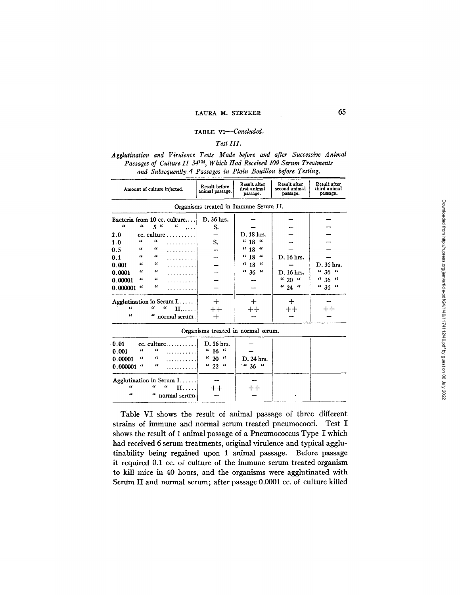#### TABLE *vI--Concluded.*

## *Test III.*

*Agglutination and Virulence Tests Made before and after Successive Animal Passages of Culture II 34124, Which Had Received 109 Serum Treatments and Subsequently 4 Passages in Plain Bouillon before Testing.*

| Amount of culture injected.                |                                       |                 |                               | Result before<br>animal passage. | Result after<br>first animal<br>passage. | Result after<br>second animal<br>passage. | Result after<br>third animal<br>passage. |  |  |
|--------------------------------------------|---------------------------------------|-----------------|-------------------------------|----------------------------------|------------------------------------------|-------------------------------------------|------------------------------------------|--|--|
|                                            | Organisms treated in Immune Serum II. |                 |                               |                                  |                                          |                                           |                                          |  |  |
| D. 36 hrs.<br>Bacteria from 10 cc. culture |                                       |                 |                               |                                  |                                          |                                           |                                          |  |  |
| $\epsilon$                                 | $\epsilon$                            | 5<br>$\epsilon$ | $\epsilon$                    | S.                               |                                          |                                           |                                          |  |  |
| 2.0                                        |                                       |                 | $cc.$ culture $\ldots \ldots$ |                                  | D. 18 hrs.                               |                                           |                                          |  |  |
| 1.0                                        | $\epsilon$                            | $\epsilon$      |                               | S.                               | $46.18 - 46$                             |                                           |                                          |  |  |
| 0.5                                        | 46                                    | $\epsilon$      |                               |                                  | 48<br>$\ddot{\phantom{0}}$               |                                           |                                          |  |  |
| 0.1                                        | 66                                    | $\epsilon$      |                               |                                  | и<br>18<br>46                            | D. 16 hrs.                                |                                          |  |  |
| 0.001                                      | "                                     | $\iota\iota$    |                               |                                  | 44.18<br>"                               |                                           | D. 36 hrs.                               |  |  |
| 0.0001                                     | "                                     | "               |                               |                                  | 4.36<br>"                                | D. 16 hrs.                                | " 36 "                                   |  |  |
| 0.00001                                    | "                                     | "               |                               |                                  |                                          | $420 - 44$                                | 4.36<br>$\epsilon$                       |  |  |
| 0.000001                                   | 46                                    | 46              |                               |                                  |                                          | 4.24                                      | " 36 "                                   |  |  |
|                                            |                                       |                 | Agglutination in Serum I      | $^{+}$                           |                                          | ┿                                         |                                          |  |  |
| 46                                         |                                       | $\epsilon$      | "<br>$\text{II}, \ldots$ .    | $^{\mathrm ++}$                  |                                          | $++$                                      |                                          |  |  |
| 66                                         |                                       |                 | " normal serum.               | ┿                                |                                          |                                           |                                          |  |  |
| Organisms treated in normal serum.         |                                       |                 |                               |                                  |                                          |                                           |                                          |  |  |
| 0.01                                       |                                       |                 | $cc.$ culture                 | D. 16 hrs.                       |                                          |                                           |                                          |  |  |
| 0.001                                      | "                                     | 46              |                               | "<br>46<br>16                    |                                          |                                           |                                          |  |  |
| 0.00001                                    | "                                     | "               |                               | $^{(1)}$ 20<br>$\epsilon$        | D. 24 hrs.                               |                                           |                                          |  |  |
| 0.000001                                   | 46                                    | "               |                               | 42<br>"                          | . "36 "                                  |                                           |                                          |  |  |
| Agglutination in Serum $I_{\dots}$         |                                       |                 |                               |                                  |                                          |                                           |                                          |  |  |
| 44                                         |                                       | "               | 66<br><b>II</b> .             |                                  |                                          |                                           |                                          |  |  |
| 46                                         |                                       | "               | normal serum.                 |                                  |                                          |                                           |                                          |  |  |

Table VI shows the result of animal passage of three different strains of immune and normal serum treated pneumococci. Test I shows the result of 1 animal passage of a Pneumococcus Type I which had received 6 serum treatments, original virulence and typical agglutinability being regained upon 1 animal passage. Before passage it required 0.1 cc. of culture of the immune serum treated organism to **kill** mice in 40 hours, and the organisms were agglutinated with Serum II and normal serum; after passage 0.0001 cc. of culture killed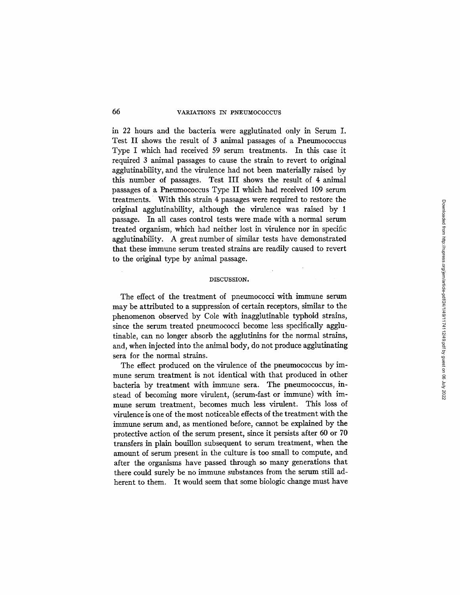in 22 hours and the bacteria were agglutinated only in Serum I. Test II shows the result of 3 animal passages of a Pneumococcus Type I which had received 59 serum treatments. In this case it required 3 animal passages to cause the strain to revert to original agglutinability, and the virulence had not been materially raised by this number of passages. Test III shows the result of 4 animal passages of a Pneumococcus Type II which had received 109 serum treatments. With this strain 4 passages were required to restore the original agglutinability, although the virulence was raised by 1 passage. In all cases control tests were made with a normal serum treated organism, which had neither lost in virulence nor in specific agglutinability. A great number of similar tests have demonstrated that these immune serum treated strains are readily caused to revert to the original type by animal passage.

### DISCUSSION.

The effect of the treatment of pneumococci with immune serum may be attributed to a suppression of certain receptors, similar to the phenomenon observed by Cole with inagglutinable typhoid strains, since the serum treated pneumococci become less specifically agglutinable, can no longer absorb the agglutinins for the normal strains, and, when injected into the animal body, do not produce agglutinating sera for the normal strains.

The effect produced on the virulence of the pneumococcus by immune serum treatment is not identical with that produced in other bacteria by treatment with immune sera. The pneumococcus, instead of becoming more virulent, (serum-fast or immune) with immune serum treatment, becomes much less virulent. This loss of virulence is one of the most noticeable effects of the treatment with the immune serum and, as mentioned before, cannot be explained by the protective action of the serum present, since it persists after 60 or 70 transfers in plain bouillon subsequent to serum treatment, when the amount of serum present in the culture is too small to compute, and after the organisms have passed through so many generations that there could surely be no immune substances from the serum still adherent to them. It would seem that some biologic change must have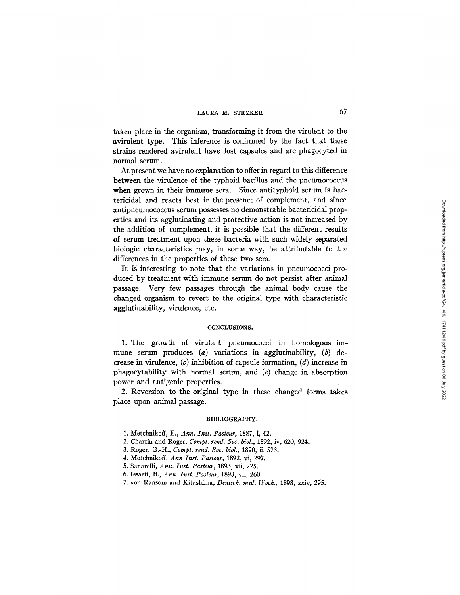taken place in the organism, transforming it from the virulent to the avirulent type. This inference is confirmed by the fact that these strains rendered avirulent have lost capsules and are phagocyted in normal serum.

At present we have no explanation to offer in regard to this difference between the virulence of the typhoid bacillus and the pneumococcus when grown in their immune sera. Since antityphoid serum is bactericidal and reacts best in the presence of complement, and since antipneumococcus serum possesses no demonstrable bactericidal properties and its agglutinating and protective action is not increased by the addition of complement, it is possible that the different results of serum treatment upon these bacteria with such widely separated biologic characteristics may, in some way, be attributable to the differences in the properties of these two sera.

It is interesting to note that the variations in pneumococci produced by treatment with immune serum do not persist after animal passage. Very few passages through the animal body cause the changed organism to revert to the original type with characteristic agglutinability, virulence, etc.

#### CONCLUSIONS.

1. The growth of virulent pneumococci in homologous immune serum produces  $(a)$  variations in agglutinability,  $(b)$  decrease in virulence, (c) inhibition of capsule formation, *(d)* increase in phagocytability with normal serum, and (e) change in absorption power and antigenic properties.

2. Reversion to the original type in these changed forms takes place upon animal passage.

#### BIBLIOGRAPHY.

- 1. Metchnikoff, E., *Ann. Inst. Pasteur,* 1887, i, 42.
- 2. Charrin and Roger, *Compt. rend. Soc. biol.,* 1892, iv, 620, 924.
- 3. Roger, G.-H., *Comrnpt. rend. Soc. biol.,* 1890, ii, 573.
- 4. Metchnikoff, *Ann Inst. Pasteur,* 1892, vi, 297.
- 5. Sanarelli, *Ann. Inst. Pasteur,* 1893, vii, 225.
- 6. Issaeff, B., *Ann. Inst. Pasteur,* 1893, vii, 260.
- 7. von Ransom and Kitashima, *Deutsch. med. Woch.,* 1898, xxiv, 295.